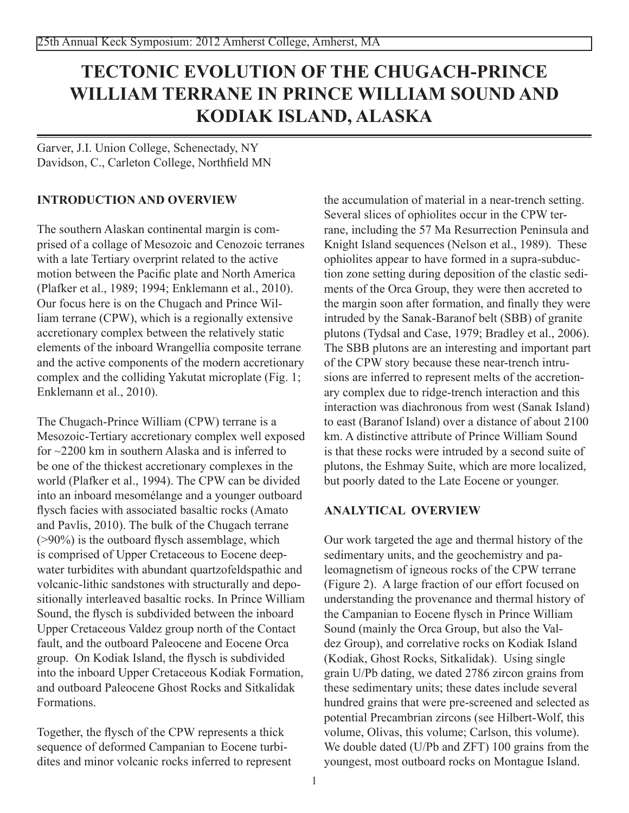# **TECTONIC EVOLUTION OF THE CHUGACH-PRINCE WILLIAM TERRANE IN PRINCE WILLIAM SOUND AND KODIAK ISLAND, ALASKA**

Garver, J.I. Union College, Schenectady, NY Davidson, C., Carleton College, Northfield MN

## **Introduction and overview**

The southern Alaskan continental margin is comprised of a collage of Mesozoic and Cenozoic terranes with a late Tertiary overprint related to the active motion between the Pacific plate and North America (Plafker et al., 1989; 1994; Enklemann et al., 2010). Our focus here is on the Chugach and Prince William terrane (CPW), which is a regionally extensive accretionary complex between the relatively static elements of the inboard Wrangellia composite terrane and the active components of the modern accretionary complex and the colliding Yakutat microplate (Fig. 1; Enklemann et al., 2010).

The Chugach-Prince William (CPW) terrane is a Mesozoic-Tertiary accretionary complex well exposed for ~2200 km in southern Alaska and is inferred to be one of the thickest accretionary complexes in the world (Plafker et al., 1994). The CPW can be divided into an inboard mesomélange and a younger outboard flysch facies with associated basaltic rocks (Amato and Pavlis, 2010). The bulk of the Chugach terrane (>90%) is the outboard flysch assemblage, which is comprised of Upper Cretaceous to Eocene deepwater turbidites with abundant quartzofeldspathic and volcanic-lithic sandstones with structurally and depositionally interleaved basaltic rocks. In Prince William Sound, the flysch is subdivided between the inboard Upper Cretaceous Valdez group north of the Contact fault, and the outboard Paleocene and Eocene Orca group. On Kodiak Island, the flysch is subdivided into the inboard Upper Cretaceous Kodiak Formation, and outboard Paleocene Ghost Rocks and Sitkalidak Formations.

Together, the flysch of the CPW represents a thick sequence of deformed Campanian to Eocene turbidites and minor volcanic rocks inferred to represent the accumulation of material in a near-trench setting. Several slices of ophiolites occur in the CPW terrane, including the 57 Ma Resurrection Peninsula and Knight Island sequences (Nelson et al., 1989). These ophiolites appear to have formed in a supra-subduction zone setting during deposition of the clastic sediments of the Orca Group, they were then accreted to the margin soon after formation, and finally they were intruded by the Sanak-Baranof belt (SBB) of granite plutons (Tydsal and Case, 1979; Bradley et al., 2006). The SBB plutons are an interesting and important part of the CPW story because these near-trench intrusions are inferred to represent melts of the accretionary complex due to ridge-trench interaction and this interaction was diachronous from west (Sanak Island) to east (Baranof Island) over a distance of about 2100 km. A distinctive attribute of Prince William Sound is that these rocks were intruded by a second suite of plutons, the Eshmay Suite, which are more localized, but poorly dated to the Late Eocene or younger.

### **Analytical overview**

Our work targeted the age and thermal history of the sedimentary units, and the geochemistry and paleomagnetism of igneous rocks of the CPW terrane (Figure 2). A large fraction of our effort focused on understanding the provenance and thermal history of the Campanian to Eocene flysch in Prince William Sound (mainly the Orca Group, but also the Valdez Group), and correlative rocks on Kodiak Island (Kodiak, Ghost Rocks, Sitkalidak). Using single grain U/Pb dating, we dated 2786 zircon grains from these sedimentary units; these dates include several hundred grains that were pre-screened and selected as potential Precambrian zircons (see Hilbert-Wolf, this volume, Olivas, this volume; Carlson, this volume). We double dated (U/Pb and ZFT) 100 grains from the youngest, most outboard rocks on Montague Island.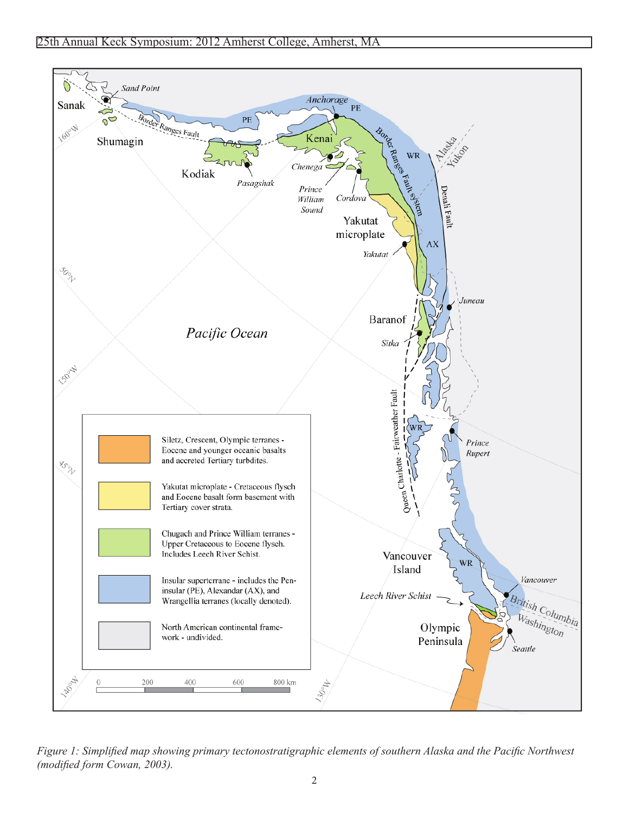

*Figure 1: Simplified map showing primary tectonostratigraphic elements of southern Alaska and the Pacific Northwest (modified form Cowan, 2003).*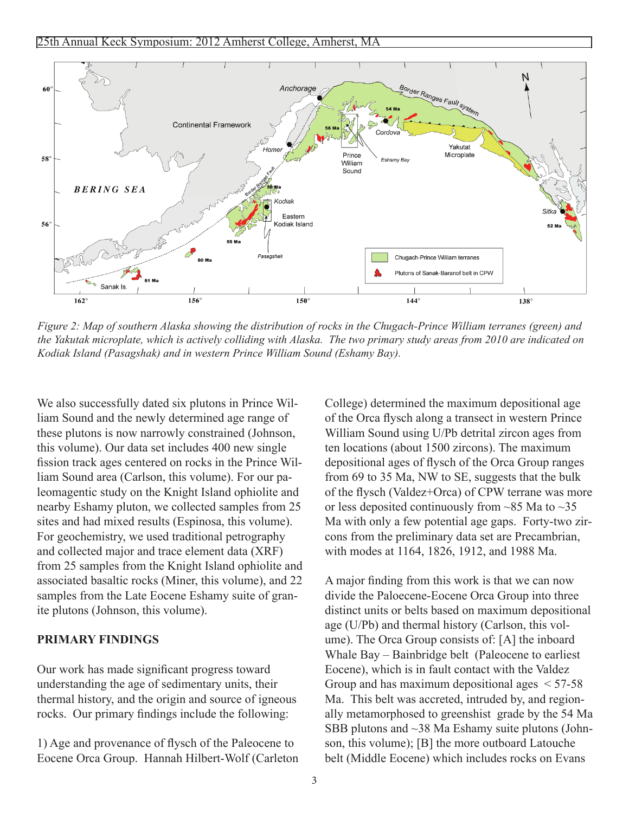

*Figure 2: Map of southern Alaska showing the distribution of rocks in the Chugach-Prince William terranes (green) and the Yakutak microplate, which is actively colliding with Alaska. The two primary study areas from 2010 are indicated on Kodiak Island (Pasagshak) and in western Prince William Sound (Eshamy Bay).* 

We also successfully dated six plutons in Prince William Sound and the newly determined age range of these plutons is now narrowly constrained (Johnson, this volume). Our data set includes 400 new single fission track ages centered on rocks in the Prince William Sound area (Carlson, this volume). For our paleomagentic study on the Knight Island ophiolite and nearby Eshamy pluton, we collected samples from 25 sites and had mixed results (Espinosa, this volume). For geochemistry, we used traditional petrography and collected major and trace element data (XRF) from 25 samples from the Knight Island ophiolite and associated basaltic rocks (Miner, this volume), and 22 samples from the Late Eocene Eshamy suite of granite plutons (Johnson, this volume).

#### **Primary Findings**

Our work has made significant progress toward understanding the age of sedimentary units, their thermal history, and the origin and source of igneous rocks. Our primary findings include the following:

1) Age and provenance of flysch of the Paleocene to Eocene Orca Group. Hannah Hilbert-Wolf (Carleton College) determined the maximum depositional age of the Orca flysch along a transect in western Prince William Sound using U/Pb detrital zircon ages from ten locations (about 1500 zircons). The maximum depositional ages of flysch of the Orca Group ranges from 69 to 35 Ma, NW to SE, suggests that the bulk of the flysch (Valdez+Orca) of CPW terrane was more or less deposited continuously from  $\sim$ 85 Ma to  $\sim$ 35 Ma with only a few potential age gaps. Forty-two zircons from the preliminary data set are Precambrian, with modes at 1164, 1826, 1912, and 1988 Ma.

A major finding from this work is that we can now divide the Paloecene-Eocene Orca Group into three distinct units or belts based on maximum depositional age (U/Pb) and thermal history (Carlson, this volume). The Orca Group consists of: [A] the inboard Whale Bay – Bainbridge belt (Paleocene to earliest Eocene), which is in fault contact with the Valdez Group and has maximum depositional ages < 57-58 Ma. This belt was accreted, intruded by, and regionally metamorphosed to greenshist grade by the 54 Ma SBB plutons and ~38 Ma Eshamy suite plutons (Johnson, this volume); [B] the more outboard Latouche belt (Middle Eocene) which includes rocks on Evans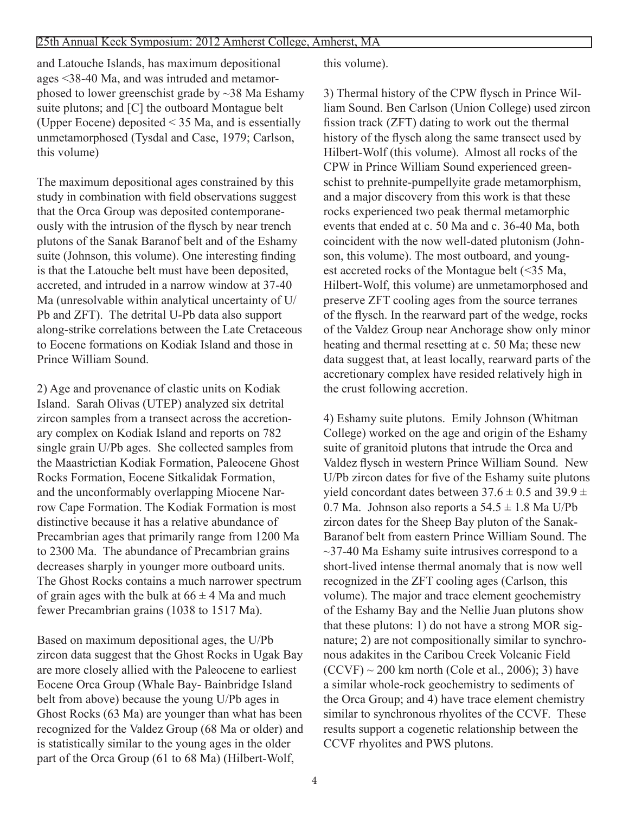and Latouche Islands, has maximum depositional ages <38-40 Ma, and was intruded and metamorphosed to lower greenschist grade by ~38 Ma Eshamy suite plutons; and [C] the outboard Montague belt (Upper Eocene) deposited < 35 Ma, and is essentially unmetamorphosed (Tysdal and Case, 1979; Carlson, this volume)

The maximum depositional ages constrained by this study in combination with field observations suggest that the Orca Group was deposited contemporaneously with the intrusion of the flysch by near trench plutons of the Sanak Baranof belt and of the Eshamy suite (Johnson, this volume). One interesting finding is that the Latouche belt must have been deposited, accreted, and intruded in a narrow window at 37-40 Ma (unresolvable within analytical uncertainty of U/ Pb and ZFT). The detrital U-Pb data also support along-strike correlations between the Late Cretaceous to Eocene formations on Kodiak Island and those in Prince William Sound.

2) Age and provenance of clastic units on Kodiak Island. Sarah Olivas (UTEP) analyzed six detrital zircon samples from a transect across the accretionary complex on Kodiak Island and reports on 782 single grain U/Pb ages. She collected samples from the Maastrictian Kodiak Formation, Paleocene Ghost Rocks Formation, Eocene Sitkalidak Formation, and the unconformably overlapping Miocene Narrow Cape Formation. The Kodiak Formation is most distinctive because it has a relative abundance of Precambrian ages that primarily range from 1200 Ma to 2300 Ma. The abundance of Precambrian grains decreases sharply in younger more outboard units. The Ghost Rocks contains a much narrower spectrum of grain ages with the bulk at  $66 \pm 4$  Ma and much fewer Precambrian grains (1038 to 1517 Ma).

Based on maximum depositional ages, the U/Pb zircon data suggest that the Ghost Rocks in Ugak Bay are more closely allied with the Paleocene to earliest Eocene Orca Group (Whale Bay- Bainbridge Island belt from above) because the young U/Pb ages in Ghost Rocks (63 Ma) are younger than what has been recognized for the Valdez Group (68 Ma or older) and is statistically similar to the young ages in the older part of the Orca Group (61 to 68 Ma) (Hilbert-Wolf,

this volume).

3) Thermal history of the CPW flysch in Prince William Sound. Ben Carlson (Union College) used zircon fission track (ZFT) dating to work out the thermal history of the flysch along the same transect used by Hilbert-Wolf (this volume). Almost all rocks of the CPW in Prince William Sound experienced greenschist to prehnite-pumpellyite grade metamorphism, and a major discovery from this work is that these rocks experienced two peak thermal metamorphic events that ended at c. 50 Ma and c. 36-40 Ma, both coincident with the now well-dated plutonism (Johnson, this volume). The most outboard, and youngest accreted rocks of the Montague belt (<35 Ma, Hilbert-Wolf, this volume) are unmetamorphosed and preserve ZFT cooling ages from the source terranes of the flysch. In the rearward part of the wedge, rocks of the Valdez Group near Anchorage show only minor heating and thermal resetting at c. 50 Ma; these new data suggest that, at least locally, rearward parts of the accretionary complex have resided relatively high in the crust following accretion.

4) Eshamy suite plutons. Emily Johnson (Whitman College) worked on the age and origin of the Eshamy suite of granitoid plutons that intrude the Orca and Valdez flysch in western Prince William Sound. New U/Pb zircon dates for five of the Eshamy suite plutons yield concordant dates between  $37.6 \pm 0.5$  and  $39.9 \pm 0.5$ 0.7 Ma. Johnson also reports a  $54.5 \pm 1.8$  Ma U/Pb zircon dates for the Sheep Bay pluton of the Sanak-Baranof belt from eastern Prince William Sound. The  $\sim$ 37-40 Ma Eshamy suite intrusives correspond to a short-lived intense thermal anomaly that is now well recognized in the ZFT cooling ages (Carlson, this volume). The major and trace element geochemistry of the Eshamy Bay and the Nellie Juan plutons show that these plutons: 1) do not have a strong MOR signature; 2) are not compositionally similar to synchronous adakites in the Caribou Creek Volcanic Field  $(CCVF) \sim 200$  km north  $(Cole et al., 2006); 3)$  have a similar whole-rock geochemistry to sediments of the Orca Group; and 4) have trace element chemistry similar to synchronous rhyolites of the CCVF. These results support a cogenetic relationship between the CCVF rhyolites and PWS plutons.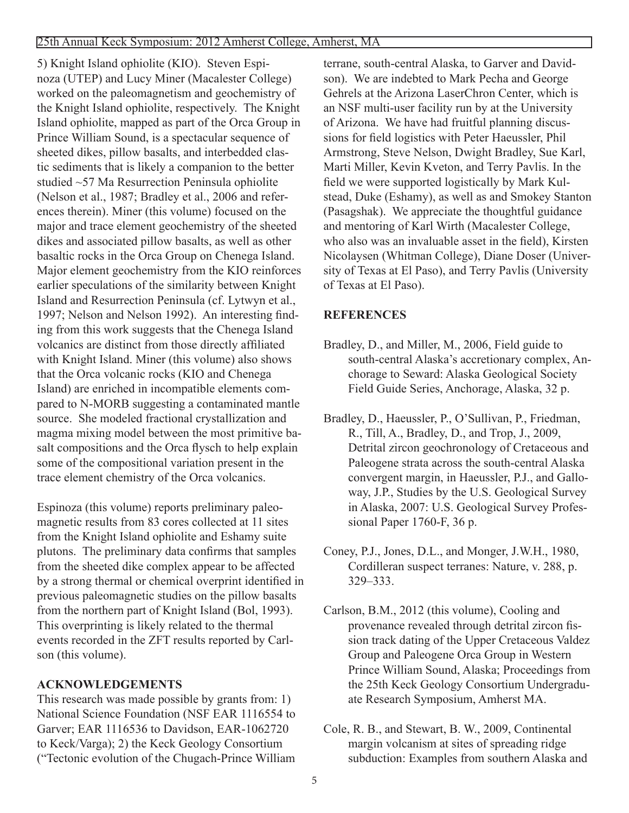5) Knight Island ophiolite (KIO). Steven Espinoza (UTEP) and Lucy Miner (Macalester College) worked on the paleomagnetism and geochemistry of the Knight Island ophiolite, respectively. The Knight Island ophiolite, mapped as part of the Orca Group in Prince William Sound, is a spectacular sequence of sheeted dikes, pillow basalts, and interbedded clastic sediments that is likely a companion to the better studied ~57 Ma Resurrection Peninsula ophiolite (Nelson et al., 1987; Bradley et al., 2006 and references therein). Miner (this volume) focused on the major and trace element geochemistry of the sheeted dikes and associated pillow basalts, as well as other basaltic rocks in the Orca Group on Chenega Island. Major element geochemistry from the KIO reinforces earlier speculations of the similarity between Knight Island and Resurrection Peninsula (cf. Lytwyn et al., 1997; Nelson and Nelson 1992). An interesting finding from this work suggests that the Chenega Island volcanics are distinct from those directly affiliated with Knight Island. Miner (this volume) also shows that the Orca volcanic rocks (KIO and Chenega Island) are enriched in incompatible elements compared to N-MORB suggesting a contaminated mantle source. She modeled fractional crystallization and magma mixing model between the most primitive basalt compositions and the Orca flysch to help explain some of the compositional variation present in the trace element chemistry of the Orca volcanics.

Espinoza (this volume) reports preliminary paleomagnetic results from 83 cores collected at 11 sites from the Knight Island ophiolite and Eshamy suite plutons. The preliminary data confirms that samples from the sheeted dike complex appear to be affected by a strong thermal or chemical overprint identified in previous paleomagnetic studies on the pillow basalts from the northern part of Knight Island (Bol, 1993). This overprinting is likely related to the thermal events recorded in the ZFT results reported by Carlson (this volume).

## **Acknowledgements**

This research was made possible by grants from: 1) National Science Foundation (NSF EAR 1116554 to Garver; EAR 1116536 to Davidson, EAR-1062720 to Keck/Varga); 2) the Keck Geology Consortium ("Tectonic evolution of the Chugach-Prince William

terrane, south-central Alaska, to Garver and Davidson). We are indebted to Mark Pecha and George Gehrels at the Arizona LaserChron Center, which is an NSF multi-user facility run by at the University of Arizona. We have had fruitful planning discussions for field logistics with Peter Haeussler, Phil Armstrong, Steve Nelson, Dwight Bradley, Sue Karl, Marti Miller, Kevin Kveton, and Terry Pavlis. In the field we were supported logistically by Mark Kulstead, Duke (Eshamy), as well as and Smokey Stanton (Pasagshak). We appreciate the thoughtful guidance and mentoring of Karl Wirth (Macalester College, who also was an invaluable asset in the field), Kirsten Nicolaysen (Whitman College), Diane Doser (University of Texas at El Paso), and Terry Pavlis (University of Texas at El Paso).

## **References**

- Bradley, D., and Miller, M., 2006, Field guide to south-central Alaska's accretionary complex, Anchorage to Seward: Alaska Geological Society Field Guide Series, Anchorage, Alaska, 32 p.
- Bradley, D., Haeussler, P., O'Sullivan, P., Friedman, R., Till, A., Bradley, D., and Trop, J., 2009, Detrital zircon geochronology of Cretaceous and Paleogene strata across the south-central Alaska convergent margin, in Haeussler, P.J., and Galloway, J.P., Studies by the U.S. Geological Survey in Alaska, 2007: U.S. Geological Survey Professional Paper 1760-F, 36 p.
- Coney, P.J., Jones, D.L., and Monger, J.W.H., 1980, Cordilleran suspect terranes: Nature, v. 288, p. 329–333.
- Carlson, B.M., 2012 (this volume), Cooling and provenance revealed through detrital zircon fission track dating of the Upper Cretaceous Valdez Group and Paleogene Orca Group in Western Prince William Sound, Alaska; Proceedings from the 25th Keck Geology Consortium Undergraduate Research Symposium, Amherst MA.
- Cole, R. B., and Stewart, B. W., 2009, Continental margin volcanism at sites of spreading ridge subduction: Examples from southern Alaska and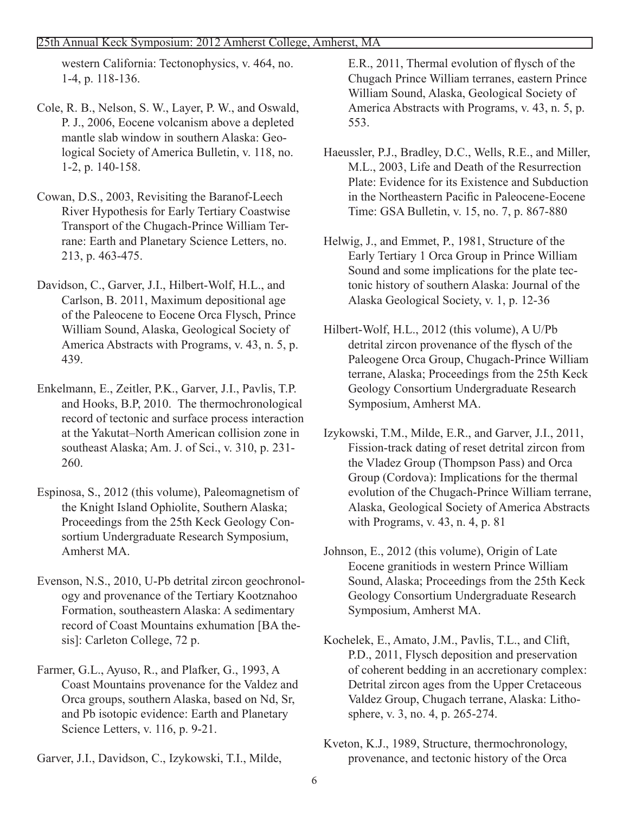#### 25th Annual Keck Symposium: 2012 Amherst College, Amherst, MA

western California: Tectonophysics, v. 464, no. 1-4, p. 118-136.

- Cole, R. B., Nelson, S. W., Layer, P. W., and Oswald, P. J., 2006, Eocene volcanism above a depleted mantle slab window in southern Alaska: Geological Society of America Bulletin, v. 118, no. 1-2, p. 140-158.
- Cowan, D.S., 2003, Revisiting the Baranof-Leech River Hypothesis for Early Tertiary Coastwise Transport of the Chugach-Prince William Terrane: Earth and Planetary Science Letters, no. 213, p. 463-475.
- Davidson, C., Garver, J.I., Hilbert-Wolf, H.L., and Carlson, B. 2011, Maximum depositional age of the Paleocene to Eocene Orca Flysch, Prince William Sound, Alaska, Geological Society of America Abstracts with Programs, v. 43, n. 5, p. 439.
- Enkelmann, E., Zeitler, P.K., Garver, J.I., Pavlis, T.P. and Hooks, B.P, 2010. The thermochronological record of tectonic and surface process interaction at the Yakutat–North American collision zone in southeast Alaska; Am. J. of Sci., v. 310, p. 231- 260.
- Espinosa, S., 2012 (this volume), Paleomagnetism of the Knight Island Ophiolite, Southern Alaska; Proceedings from the 25th Keck Geology Consortium Undergraduate Research Symposium, Amherst MA.
- Evenson, N.S., 2010, U-Pb detrital zircon geochronology and provenance of the Tertiary Kootznahoo Formation, southeastern Alaska: A sedimentary record of Coast Mountains exhumation [BA thesis]: Carleton College, 72 p.
- Farmer, G.L., Ayuso, R., and Plafker, G., 1993, A Coast Mountains provenance for the Valdez and Orca groups, southern Alaska, based on Nd, Sr, and Pb isotopic evidence: Earth and Planetary Science Letters, v. 116, p. 9-21.
- Garver, J.I., Davidson, C., Izykowski, T.I., Milde,

E.R., 2011, Thermal evolution of flysch of the Chugach Prince William terranes, eastern Prince William Sound, Alaska, Geological Society of America Abstracts with Programs, v. 43, n. 5, p. 553.

- Haeussler, P.J., Bradley, D.C., Wells, R.E., and Miller, M.L., 2003, Life and Death of the Resurrection Plate: Evidence for its Existence and Subduction in the Northeastern Pacific in Paleocene-Eocene Time: GSA Bulletin, v. 15, no. 7, p. 867-880
- Helwig, J., and Emmet, P., 1981, Structure of the Early Tertiary 1 Orca Group in Prince William Sound and some implications for the plate tectonic history of southern Alaska: Journal of the Alaska Geological Society, v. 1, p. 12-36
- Hilbert-Wolf, H.L., 2012 (this volume), A U/Pb detrital zircon provenance of the flysch of the Paleogene Orca Group, Chugach-Prince William terrane, Alaska; Proceedings from the 25th Keck Geology Consortium Undergraduate Research Symposium, Amherst MA.
- Izykowski, T.M., Milde, E.R., and Garver, J.I., 2011, Fission-track dating of reset detrital zircon from the Vladez Group (Thompson Pass) and Orca Group (Cordova): Implications for the thermal evolution of the Chugach-Prince William terrane, Alaska, Geological Society of America Abstracts with Programs, v. 43, n. 4, p. 81
- Johnson, E., 2012 (this volume), Origin of Late Eocene granitiods in western Prince William Sound, Alaska; Proceedings from the 25th Keck Geology Consortium Undergraduate Research Symposium, Amherst MA.
- Kochelek, E., Amato, J.M., Pavlis, T.L., and Clift, P.D., 2011, Flysch deposition and preservation of coherent bedding in an accretionary complex: Detrital zircon ages from the Upper Cretaceous Valdez Group, Chugach terrane, Alaska: Lithosphere, v. 3, no. 4, p. 265-274.
- Kveton, K.J., 1989, Structure, thermochronology, provenance, and tectonic history of the Orca